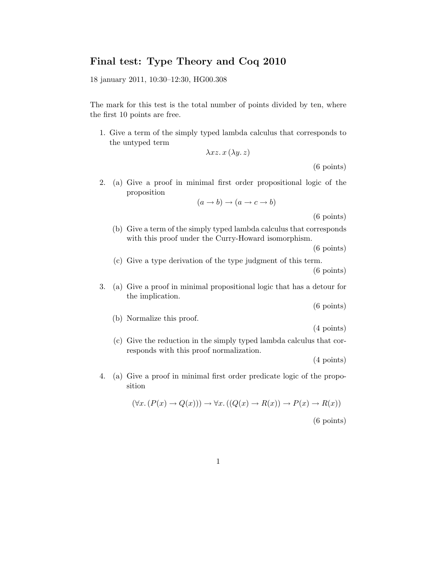## Final test: Type Theory and Coq 2010

18 january 2011, 10:30–12:30, HG00.308

The mark for this test is the total number of points divided by ten, where the first 10 points are free.

1. Give a term of the simply typed lambda calculus that corresponds to the untyped term

$$
\lambda xz. x\,(\lambda y. z)
$$

(6 points)

2. (a) Give a proof in minimal first order propositional logic of the proposition

$$
(a \to b) \to (a \to c \to b)
$$

(6 points)

(b) Give a term of the simply typed lambda calculus that corresponds with this proof under the Curry-Howard isomorphism.

(6 points)

(c) Give a type derivation of the type judgment of this term.

(6 points)

3. (a) Give a proof in minimal propositional logic that has a detour for the implication.

(6 points)

(b) Normalize this proof.

(4 points)

(c) Give the reduction in the simply typed lambda calculus that corresponds with this proof normalization.

(4 points)

4. (a) Give a proof in minimal first order predicate logic of the proposition

$$
(\forall x. (P(x) \to Q(x))) \to \forall x. ((Q(x) \to R(x)) \to P(x) \to R(x))
$$
\n(6 points)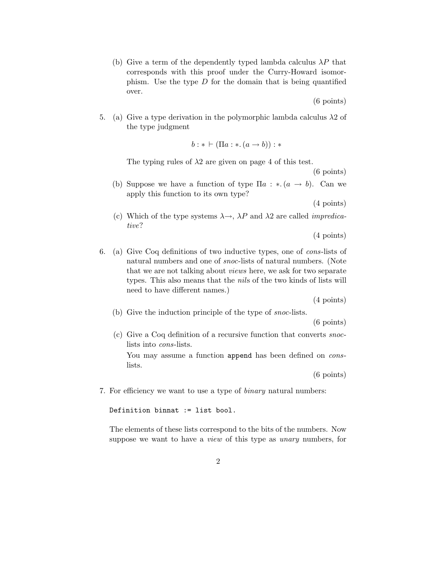(b) Give a term of the dependently typed lambda calculus  $\lambda P$  that corresponds with this proof under the Curry-Howard isomorphism. Use the type  $D$  for the domain that is being quantified over.

(6 points)

5. (a) Give a type derivation in the polymorphic lambda calculus  $\lambda$ 2 of the type judgment

$$
b:*\vdash (\Pi a:*(a\rightarrow b)):*
$$

The typing rules of  $\lambda$ 2 are given on page 4 of this test.

(6 points)

(b) Suppose we have a function of type  $\Pi a : * (a \rightarrow b)$ . Can we apply this function to its own type?

(4 points)

(c) Which of the type systems  $\lambda \rightarrow$ ,  $\lambda P$  and  $\lambda 2$  are called *impredica*tive?

(4 points)

6. (a) Give Coq definitions of two inductive types, one of cons-lists of natural numbers and one of snoc-lists of natural numbers. (Note that we are not talking about views here, we ask for two separate types. This also means that the nils of the two kinds of lists will need to have different names.)

(4 points)

(b) Give the induction principle of the type of snoc-lists.

(6 points)

(c) Give a Coq definition of a recursive function that converts snoclists into cons-lists.

You may assume a function append has been defined on *cons*lists.

(6 points)

7. For efficiency we want to use a type of binary natural numbers:

Definition binnat := list bool.

The elements of these lists correspond to the bits of the numbers. Now suppose we want to have a *view* of this type as *unary* numbers, for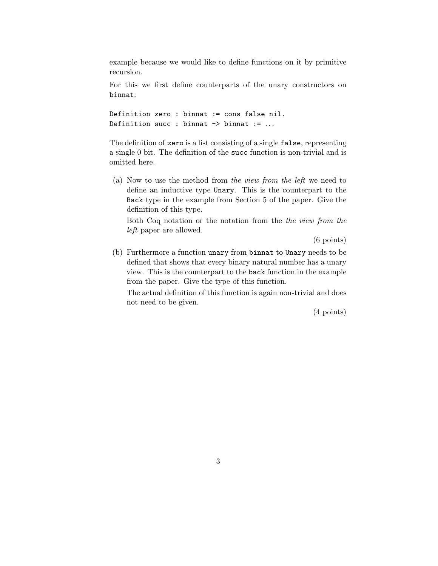example because we would like to define functions on it by primitive recursion.

For this we first define counterparts of the unary constructors on binnat:

Definition zero : binnat := cons false nil. Definition succ : binnat  $\rightarrow$  binnat := ...

The definition of zero is a list consisting of a single false, representing a single 0 bit. The definition of the succ function is non-trivial and is omitted here.

(a) Now to use the method from the view from the left we need to define an inductive type Unary. This is the counterpart to the Back type in the example from Section 5 of the paper. Give the definition of this type.

Both Coq notation or the notation from the the view from the left paper are allowed.

(6 points)

(b) Furthermore a function unary from binnat to Unary needs to be defined that shows that every binary natural number has a unary view. This is the counterpart to the back function in the example from the paper. Give the type of this function.

The actual definition of this function is again non-trivial and does not need to be given.

(4 points)